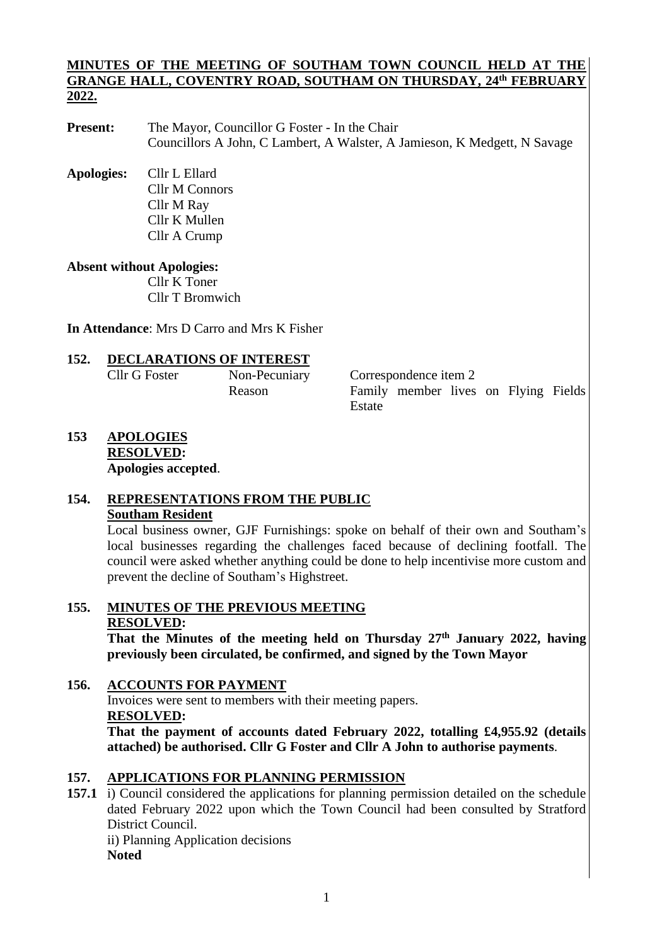#### **MINUTES OF THE MEETING OF SOUTHAM TOWN COUNCIL HELD AT THE GRANGE HALL, COVENTRY ROAD, SOUTHAM ON THURSDAY, 24 th FEBRUARY 2022.**

- **Present:** The Mayor, Councillor G Foster In the Chair Councillors A John, C Lambert, A Walster, A Jamieson, K Medgett, N Savage
- **Apologies:** Cllr L Ellard Cllr M Connors Cllr M Ray Cllr K Mullen Cllr A Crump

# **Absent without Apologies:**

Cllr K Toner Cllr T Bromwich

**In Attendance**: Mrs D Carro and Mrs K Fisher

# **152. DECLARATIONS OF INTEREST**

Cllr G Foster Non-Pecuniary Correspondence item 2 Reason Family member lives on Flying Fields Estate

**153 APOLOGIES RESOLVED: Apologies accepted**.

# **154. REPRESENTATIONS FROM THE PUBLIC Southam Resident**

Local business owner, GJF Furnishings: spoke on behalf of their own and Southam's local businesses regarding the challenges faced because of declining footfall. The council were asked whether anything could be done to help incentivise more custom and prevent the decline of Southam's Highstreet.

# **155. MINUTES OF THE PREVIOUS MEETING RESOLVED:**

**That the Minutes of the meeting held on Thursday 27th January 2022, having previously been circulated, be confirmed, and signed by the Town Mayor**

# **156. ACCOUNTS FOR PAYMENT**

Invoices were sent to members with their meeting papers. **RESOLVED:**

**That the payment of accounts dated February 2022, totalling £4,955.92 (details attached) be authorised. Cllr G Foster and Cllr A John to authorise payments**.

# **157. APPLICATIONS FOR PLANNING PERMISSION**

**157.1** i) Council considered the applications for planning permission detailed on the schedule dated February 2022 upon which the Town Council had been consulted by Stratford District Council. ii) Planning Application decisions **Noted**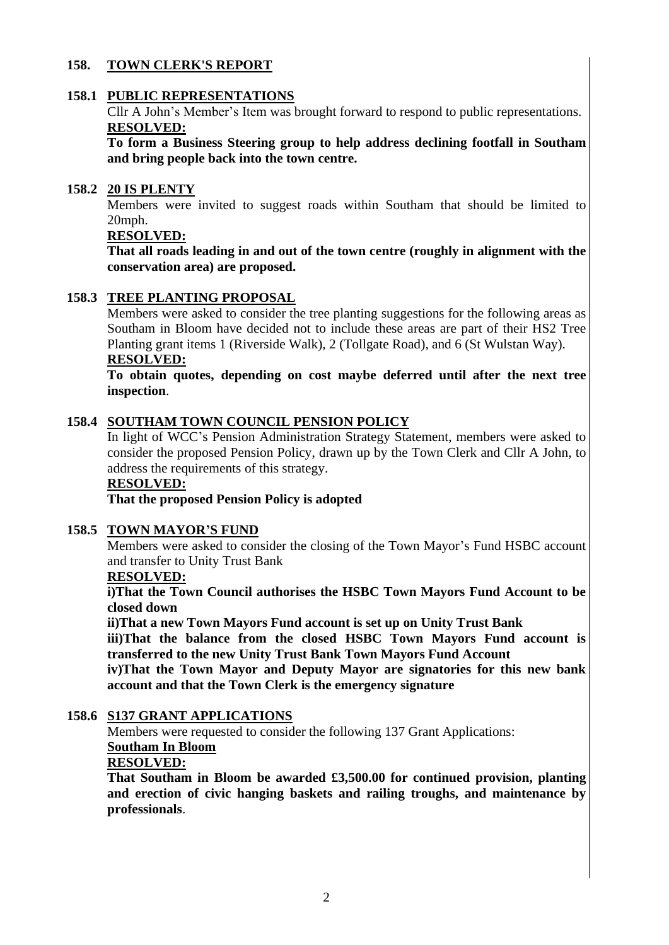# **158. TOWN CLERK'S REPORT**

#### **158.1 PUBLIC REPRESENTATIONS**

Cllr A John's Member's Item was brought forward to respond to public representations. **RESOLVED:**

**To form a Business Steering group to help address declining footfall in Southam and bring people back into the town centre.**

#### **158.2 20 IS PLENTY**

Members were invited to suggest roads within Southam that should be limited to 20mph.

# **RESOLVED:**

**That all roads leading in and out of the town centre (roughly in alignment with the conservation area) are proposed.**

#### **158.3 TREE PLANTING PROPOSAL**

Members were asked to consider the tree planting suggestions for the following areas as Southam in Bloom have decided not to include these areas are part of their HS2 Tree Planting grant items 1 (Riverside Walk), 2 (Tollgate Road), and 6 (St Wulstan Way). **RESOLVED:**

**To obtain quotes, depending on cost maybe deferred until after the next tree inspection**.

#### **158.4 SOUTHAM TOWN COUNCIL PENSION POLICY**

In light of WCC's Pension Administration Strategy Statement, members were asked to consider the proposed Pension Policy, drawn up by the Town Clerk and Cllr A John, to address the requirements of this strategy.

#### **RESOLVED:**

**That the proposed Pension Policy is adopted** 

#### **158.5 TOWN MAYOR'S FUND**

Members were asked to consider the closing of the Town Mayor's Fund HSBC account and transfer to Unity Trust Bank

#### **RESOLVED:**

**i)That the Town Council authorises the HSBC Town Mayors Fund Account to be closed down**

**ii)That a new Town Mayors Fund account is set up on Unity Trust Bank**

**iii)That the balance from the closed HSBC Town Mayors Fund account is transferred to the new Unity Trust Bank Town Mayors Fund Account** 

**iv)That the Town Mayor and Deputy Mayor are signatories for this new bank account and that the Town Clerk is the emergency signature**

#### **158.6 S137 GRANT APPLICATIONS**

Members were requested to consider the following 137 Grant Applications: **Southam In Bloom**

## **RESOLVED:**

**That Southam in Bloom be awarded £3,500.00 for continued provision, planting and erection of civic hanging baskets and railing troughs, and maintenance by professionals**.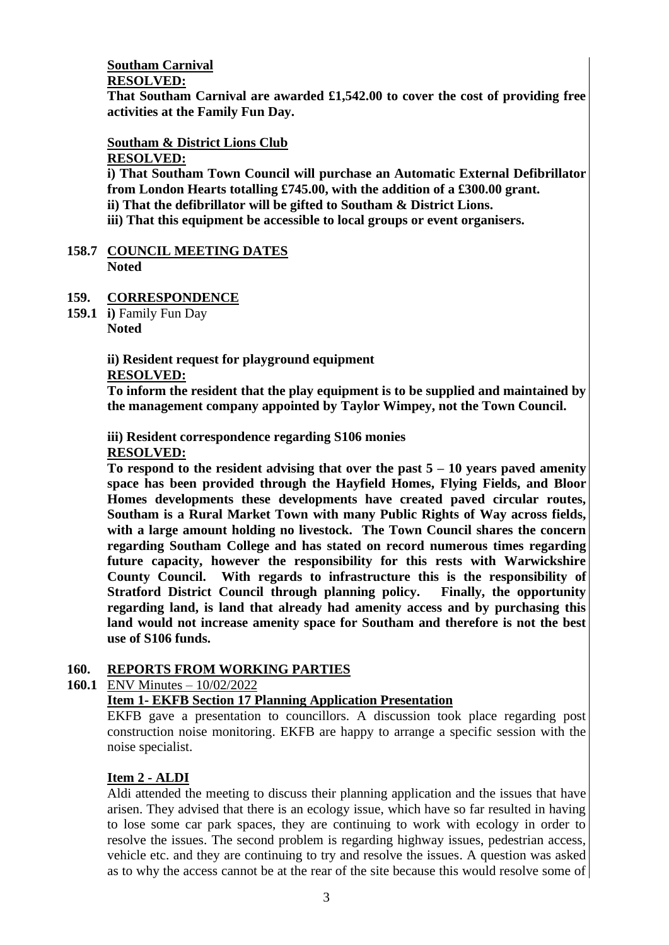# **Southam Carnival**

#### **RESOLVED:**

**That Southam Carnival are awarded £1,542.00 to cover the cost of providing free activities at the Family Fun Day.**

# **Southam & District Lions Club**

**RESOLVED:**

**i) That Southam Town Council will purchase an Automatic External Defibrillator from London Hearts totalling £745.00, with the addition of a £300.00 grant. ii) That the defibrillator will be gifted to Southam & District Lions.**

**iii) That this equipment be accessible to local groups or event organisers.** 

#### **158.7 COUNCIL MEETING DATES Noted**

# **159. CORRESPONDENCE**

**159.1 i)** Family Fun Day **Noted**

# **ii) Resident request for playground equipment**

### **RESOLVED:**

**To inform the resident that the play equipment is to be supplied and maintained by the management company appointed by Taylor Wimpey, not the Town Council.** 

# **iii) Resident correspondence regarding S106 monies**

### **RESOLVED:**

**To respond to the resident advising that over the past 5 – 10 years paved amenity space has been provided through the Hayfield Homes, Flying Fields, and Bloor Homes developments these developments have created paved circular routes, Southam is a Rural Market Town with many Public Rights of Way across fields, with a large amount holding no livestock. The Town Council shares the concern regarding Southam College and has stated on record numerous times regarding future capacity, however the responsibility for this rests with Warwickshire County Council. With regards to infrastructure this is the responsibility of Stratford District Council through planning policy. Finally, the opportunity regarding land, is land that already had amenity access and by purchasing this land would not increase amenity space for Southam and therefore is not the best use of S106 funds.**

# **160. REPORTS FROM WORKING PARTIES**

# **160.1** ENV Minutes – 10/02/2022

# **Item 1- EKFB Section 17 Planning Application Presentation**

EKFB gave a presentation to councillors. A discussion took place regarding post construction noise monitoring. EKFB are happy to arrange a specific session with the noise specialist.

# **Item 2 - ALDI**

Aldi attended the meeting to discuss their planning application and the issues that have arisen. They advised that there is an ecology issue, which have so far resulted in having to lose some car park spaces, they are continuing to work with ecology in order to resolve the issues. The second problem is regarding highway issues, pedestrian access, vehicle etc. and they are continuing to try and resolve the issues. A question was asked as to why the access cannot be at the rear of the site because this would resolve some of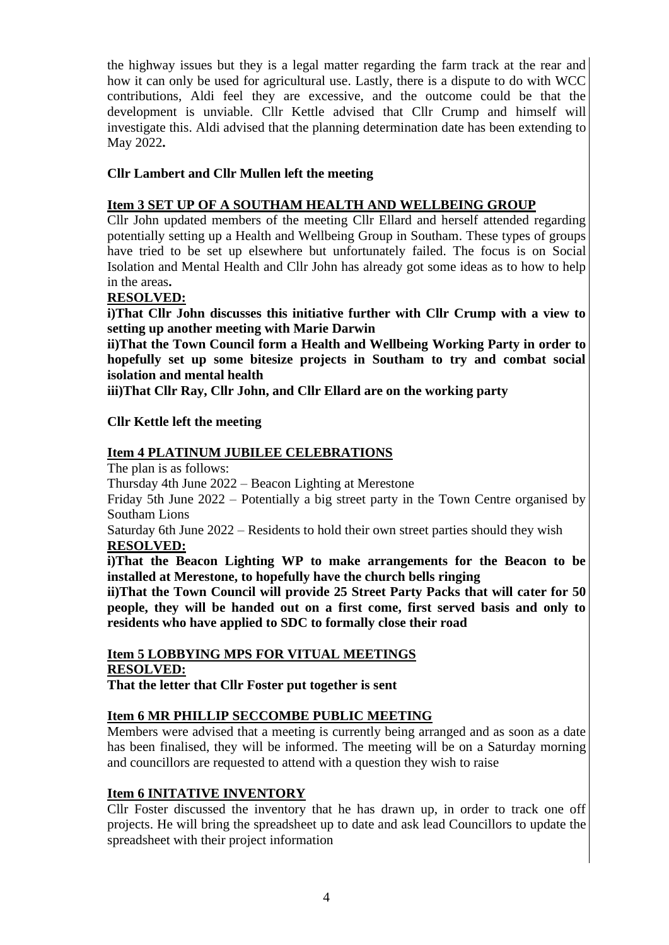the highway issues but they is a legal matter regarding the farm track at the rear and how it can only be used for agricultural use. Lastly, there is a dispute to do with WCC contributions, Aldi feel they are excessive, and the outcome could be that the development is unviable. Cllr Kettle advised that Cllr Crump and himself will investigate this. Aldi advised that the planning determination date has been extending to May 2022**.**

# **Cllr Lambert and Cllr Mullen left the meeting**

## **Item 3 SET UP OF A SOUTHAM HEALTH AND WELLBEING GROUP**

Cllr John updated members of the meeting Cllr Ellard and herself attended regarding potentially setting up a Health and Wellbeing Group in Southam. These types of groups have tried to be set up elsewhere but unfortunately failed. The focus is on Social Isolation and Mental Health and Cllr John has already got some ideas as to how to help in the areas**.** 

### **RESOLVED:**

**i)That Cllr John discusses this initiative further with Cllr Crump with a view to setting up another meeting with Marie Darwin**

**ii)That the Town Council form a Health and Wellbeing Working Party in order to hopefully set up some bitesize projects in Southam to try and combat social isolation and mental health**

**iii)That Cllr Ray, Cllr John, and Cllr Ellard are on the working party** 

### **Cllr Kettle left the meeting**

### **Item 4 PLATINUM JUBILEE CELEBRATIONS**

The plan is as follows:

Thursday 4th June 2022 – Beacon Lighting at Merestone

Friday 5th June 2022 – Potentially a big street party in the Town Centre organised by Southam Lions

Saturday 6th June 2022 – Residents to hold their own street parties should they wish **RESOLVED:** 

**i)That the Beacon Lighting WP to make arrangements for the Beacon to be installed at Merestone, to hopefully have the church bells ringing** 

**ii)That the Town Council will provide 25 Street Party Packs that will cater for 50 people, they will be handed out on a first come, first served basis and only to residents who have applied to SDC to formally close their road**

#### **Item 5 LOBBYING MPS FOR VITUAL MEETINGS RESOLVED:**

**That the letter that Cllr Foster put together is sent** 

# **Item 6 MR PHILLIP SECCOMBE PUBLIC MEETING**

Members were advised that a meeting is currently being arranged and as soon as a date has been finalised, they will be informed. The meeting will be on a Saturday morning and councillors are requested to attend with a question they wish to raise

#### **Item 6 INITATIVE INVENTORY**

Cllr Foster discussed the inventory that he has drawn up, in order to track one off projects. He will bring the spreadsheet up to date and ask lead Councillors to update the spreadsheet with their project information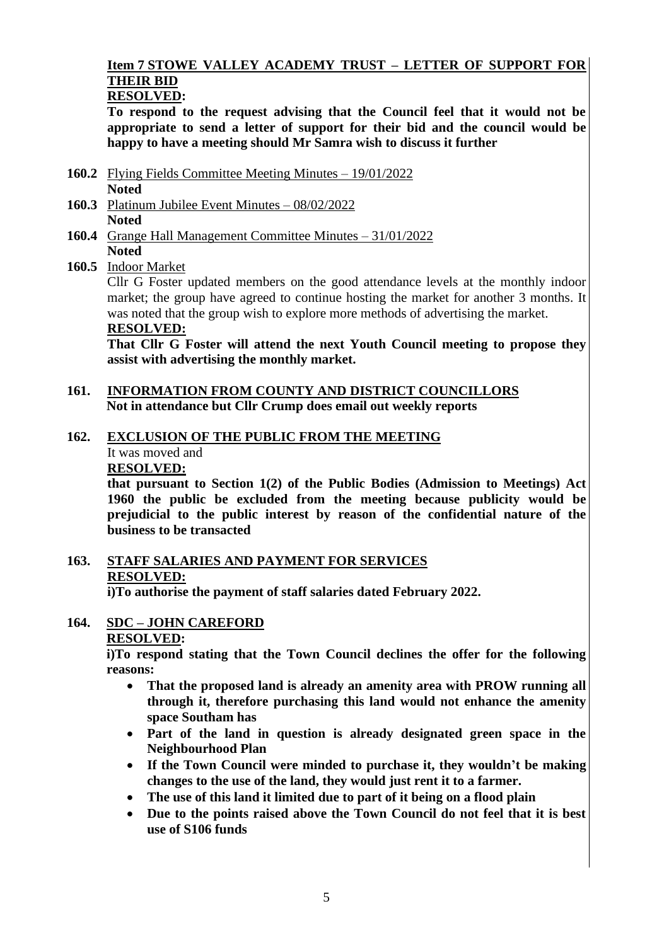#### **Item 7 STOWE VALLEY ACADEMY TRUST – LETTER OF SUPPORT FOR THEIR BID RESOLVED:**

**To respond to the request advising that the Council feel that it would not be appropriate to send a letter of support for their bid and the council would be happy to have a meeting should Mr Samra wish to discuss it further**

- **160.2** Flying Fields Committee Meeting Minutes 19/01/2022 **Noted**
- **160.3** Platinum Jubilee Event Minutes 08/02/2022 **Noted**
- **160.4** Grange Hall Management Committee Minutes 31/01/2022 **Noted**

# **160.5** Indoor Market

Cllr G Foster updated members on the good attendance levels at the monthly indoor market; the group have agreed to continue hosting the market for another 3 months. It was noted that the group wish to explore more methods of advertising the market. **RESOLVED:**

**That Cllr G Foster will attend the next Youth Council meeting to propose they assist with advertising the monthly market.**

#### **161. INFORMATION FROM COUNTY AND DISTRICT COUNCILLORS Not in attendance but Cllr Crump does email out weekly reports**

### **162. EXCLUSION OF THE PUBLIC FROM THE MEETING**

It was moved and

**RESOLVED:**

**that pursuant to Section 1(2) of the Public Bodies (Admission to Meetings) Act 1960 the public be excluded from the meeting because publicity would be prejudicial to the public interest by reason of the confidential nature of the business to be transacted**

# **163. STAFF SALARIES AND PAYMENT FOR SERVICES RESOLVED:**

**i)To authorise the payment of staff salaries dated February 2022.**

#### **164. SDC – JOHN CAREFORD RESOLVED:**

**i)To respond stating that the Town Council declines the offer for the following** 

**reasons:**

- **That the proposed land is already an amenity area with PROW running all through it, therefore purchasing this land would not enhance the amenity space Southam has**
- **Part of the land in question is already designated green space in the Neighbourhood Plan**
- **If the Town Council were minded to purchase it, they wouldn't be making changes to the use of the land, they would just rent it to a farmer.**
- **The use of this land it limited due to part of it being on a flood plain**
- **Due to the points raised above the Town Council do not feel that it is best use of S106 funds**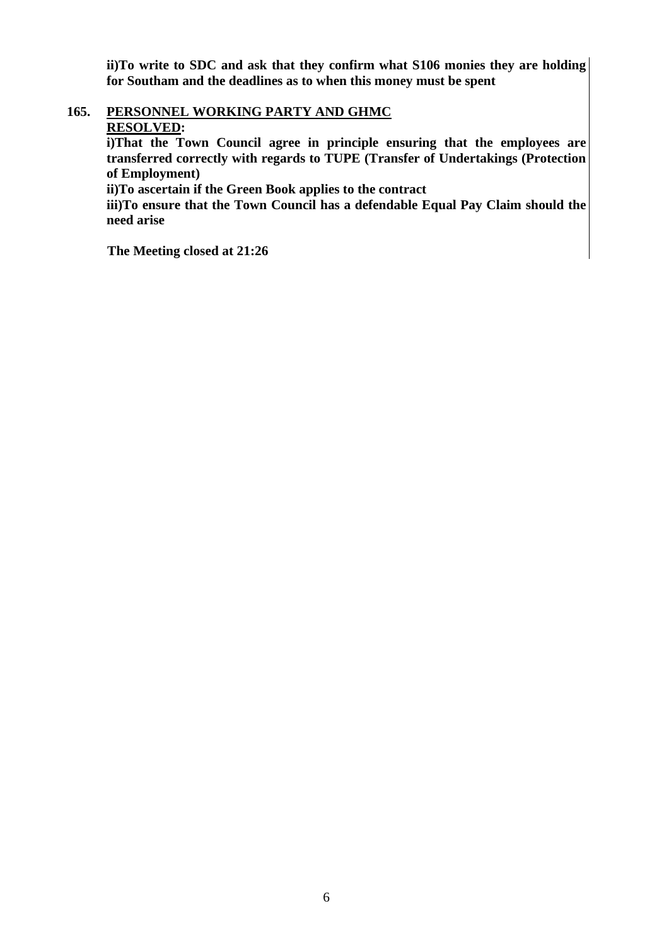**ii)To write to SDC and ask that they confirm what S106 monies they are holding for Southam and the deadlines as to when this money must be spent**

#### **165. PERSONNEL WORKING PARTY AND GHMC RESOLVED:**

**i)That the Town Council agree in principle ensuring that the employees are transferred correctly with regards to TUPE (Transfer of Undertakings (Protection of Employment)**

**ii)To ascertain if the Green Book applies to the contract**

**iii)To ensure that the Town Council has a defendable Equal Pay Claim should the need arise**

**The Meeting closed at 21:26**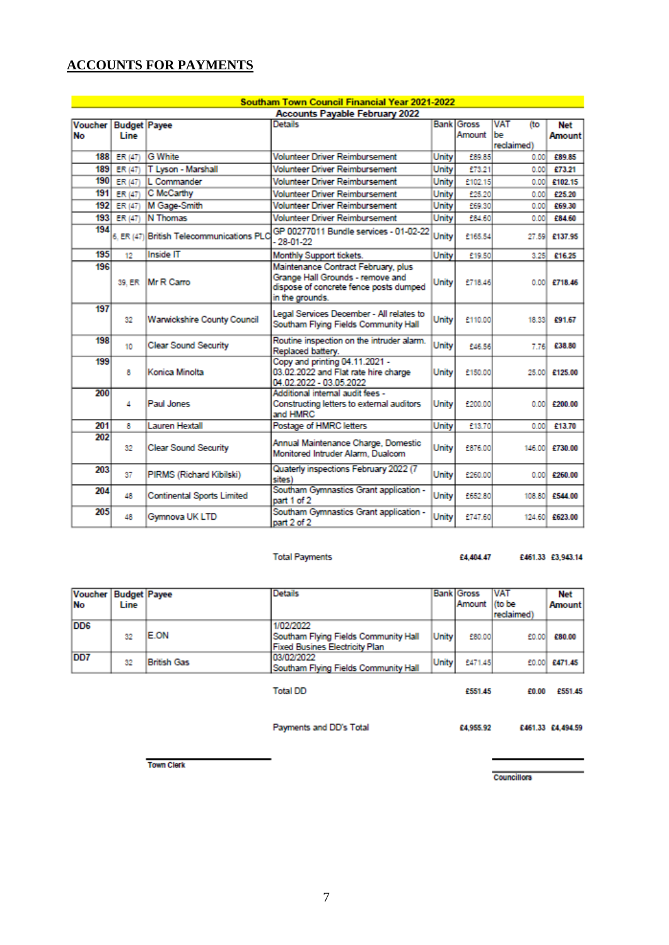# **ACCOUNTS FOR PAYMENTS**

| Southam Town Council Financial Year 2021-2022 |                     |                                           |                                                                                                                                      |       |                                        |                   |                 |  |  |
|-----------------------------------------------|---------------------|-------------------------------------------|--------------------------------------------------------------------------------------------------------------------------------------|-------|----------------------------------------|-------------------|-----------------|--|--|
| <b>Accounts Payable February 2022</b>         |                     |                                           |                                                                                                                                      |       |                                        |                   |                 |  |  |
| <b>Voucher</b>                                | <b>Budget Payee</b> |                                           | <b>Details</b>                                                                                                                       |       | <b>Bank Gross</b><br><b>VAT</b><br>(to |                   | <b>Net</b>      |  |  |
| <b>No</b>                                     | Line                |                                           |                                                                                                                                      |       | Amount                                 | lbe<br>reclaimed) | Amount          |  |  |
| 188                                           | ER (47)             | <b>G</b> White                            | <b>Volunteer Driver Reimbursement</b>                                                                                                | Unity | £89.85                                 | 0.00              | £89.85          |  |  |
| 189                                           | ER (47)             | T Lyson - Marshall                        | <b>Volunteer Driver Reimbursement</b>                                                                                                | Unity | £73.21                                 | 0.00              | £73.21          |  |  |
| 190 <sub>1</sub>                              | <b>ER (47)</b>      | L Commander                               | <b>Volunteer Driver Reimbursement</b>                                                                                                | Unity | £102.15                                | 0.00              | £102.15         |  |  |
| 191                                           | <b>ER (47)</b>      | C McCarthy                                | <b>Volunteer Driver Reimbursement</b>                                                                                                | Unity | £25.20                                 | 0.00              | £25.20          |  |  |
| 192                                           | ER (47)             | M Gage-Smith                              | <b>Volunteer Driver Reimbursement</b>                                                                                                | Unity | £69.30                                 | 0.00              | £69.30          |  |  |
|                                               | 193 ER (47)         | <b>N</b> Thomas                           | <b>Volunteer Driver Reimbursement</b>                                                                                                | Unity | £84.60                                 | 0.00              | £84.60          |  |  |
| 194                                           |                     | 6. ER (47) British Telecommunications PLC | GP 00277011 Bundle services - 01-02-22<br>$-28 - 01 - 22$                                                                            | Unity | £165.54                                |                   | 27.59 £137.95   |  |  |
| 195                                           | 12                  | <b>Inside IT</b>                          | Monthly Support tickets.                                                                                                             | Unity | £19.50                                 | 3.25              | £16.25          |  |  |
| 196                                           |                     | 39. ER Mr R Carro                         | Maintenance Contract February, plus<br>Grange Hall Grounds - remove and<br>dispose of concrete fence posts dumped<br>in the grounds. | Unity | £718.46                                |                   | $0.001$ £718.46 |  |  |
| 197                                           | 32                  | Warwickshire County Council               | Legal Services December - All relates to<br>Southam Flying Fields Community Hall                                                     | Unity | £110.00                                |                   | 18.33 £91.67    |  |  |
| 198                                           | 10                  | <b>Clear Sound Security</b>               | Routine inspection on the intruder alarm.<br>Replaced battery.                                                                       | Unity | £46.56                                 | 7.76              | £38.80          |  |  |
| 199                                           | 8                   | Konica Minolta                            | Copy and printing 04.11.2021 -<br>03.02.2022 and Flat rate hire charge<br>04.02.2022 - 03.05.2022                                    | Unity | £150.00                                |                   | 25.00 £125.00   |  |  |
| 200                                           | 4                   | Paul Jones                                | Additional internal audit fees -<br>Constructing letters to external auditors<br>and HMRC                                            | Unity | £200.00                                |                   | $0.001$ £200.00 |  |  |
| 201                                           | 8                   | Lauren Hextall                            | Postage of HMRC letters                                                                                                              | Unity | £13.70                                 | 0.00              | £13.70          |  |  |
| 202                                           | 32                  | <b>Clear Sound Security</b>               | Annual Maintenance Charge, Domestic<br>Monitored Intruder Alarm, Dualcom                                                             | Unity | £876.00                                |                   | 146.00 £730.00  |  |  |
| 203                                           | 37                  | PIRMS (Richard Kibilski)                  | Quaterly inspections February 2022 (7<br>sites)                                                                                      | Unity | £260.00                                |                   | $0.00$ £260.00  |  |  |
| 204                                           | 48                  | <b>Continental Sports Limited</b>         | Southam Gymnastics Grant application -<br>part 1 of 2                                                                                | Unity | £652.80                                |                   | 108.80 £544.00  |  |  |
| 205                                           | 48                  | Gymnova UK LTD                            | Southam Gymnastics Grant application -<br>nart 2 of 2                                                                                | Unity | 2747.60                                |                   | 124.60 £623.00  |  |  |

#### **Total Payments**

£4,404.47 £461.33 £3,943.14

| Voucher         | <b>Budget Payee</b> |                    | <b>Details</b>                        |       | <b>Bank Gross</b> | <b>VAT</b> | Net           |
|-----------------|---------------------|--------------------|---------------------------------------|-------|-------------------|------------|---------------|
| <b>No</b>       | Line                |                    |                                       |       | Amount (to be     |            | <b>Amount</b> |
|                 |                     |                    |                                       |       |                   | (reclaimed |               |
| DD <sub>6</sub> |                     |                    | 1/02/2022                             |       |                   |            |               |
|                 | 32                  | E.ON               | Southam Flying Fields Community Hall  | Unity | £80.00            | £0.00      | £80.00        |
|                 |                     |                    | <b>Fixed Busines Electricity Plan</b> |       |                   |            |               |
| DD <sub>7</sub> | 32                  | <b>British Gas</b> | 03/02/2022                            | Unity | £471.45           |            | £0.00 £471.45 |
|                 |                     |                    | Southam Flying Fields Community Hall  |       |                   |            |               |
|                 |                     |                    |                                       |       |                   |            |               |
|                 |                     |                    | <b>Total DD</b>                       |       | £551.45           | £0.00      | £551.45       |

Payments and DD's Total

Councillors

£461.33 £4,494.59

£4,955.92

**Town Clerk**